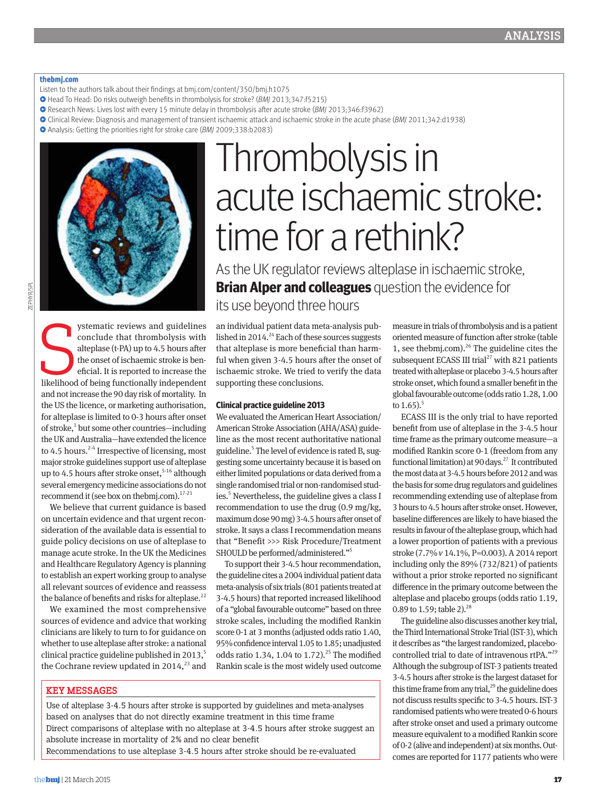#### **thebmj.com**

- Listen to the authors talk about their findings at bmj.com/content/350/bmj.h1075
- ̻ Head To Head: Do risks outweigh benefits in thrombolysis for stroke? (*BMJ* 2013;347:f5215)
- **O** Research News: Lives lost with every 15 minute delay in thrombolysis after acute stroke (*BMJ* 2013:346:f3962)
- ̻ Clinical Review: Diagnosis and management of transient ischaemic attack and ischaemic stroke in the acute phase (*BMJ* 2011;342:d1938)
- ̻ Analysis: Getting the priorities right for stroke care (*BMJ* 2009;338:b2083)



Substitutionally independent of being functionally independent the disclosure of being functionally independent ystematic reviews and guidelines conclude that thrombolysis with alteplase (t-PA) up to 4.5 hours after the onset of ischaemic stroke is beneficial. It is reported to increase the and not increase the 90 day risk of mortality. In the US the licence, or marketing authorisation, for alteplase is limited to 0-3 hours after onset of stroke,<sup>1</sup> but some other countries—including the UK and Australia—have extended the licence to 4.5 hours.<sup>2-4</sup> Irrespective of licensing, most major stroke guidelines support use of alteplase up to 4.5 hours after stroke onset,  $5-16$  although several emergency medicine associations do not recommend it (see box on thebmj.com).<sup>17-21</sup>

We believe that current guidance is based on uncertain evidence and that urgent reconsideration of the available data is essential to guide policy decisions on use of alteplase to manage acute stroke. In the UK the Medicines and Healthcare Regulatory Agency is planning to establish an expert working group to analyse all relevant sources of evidence and reassess the balance of benefits and risks for alteplase.<sup>22</sup>

We examined the most comprehensive sources of evidence and advice that working clinicians are likely to turn to for guidance on whether to use alteplase after stroke: a national clinical practice guideline published in 2013,<sup>5</sup> the Cochrane review updated in  $2014$ ,<sup>23</sup> and

# Thrombolysis in acute ischaemic stroke: time for a rethink?

As the UK regulator reviews alteplase in ischaemic stroke, **Brian Alper and colleagues** question the evidence for its use beyond three hours

an individual patient data meta-analysis published in  $2014.^{24}$  Each of these sources suggests that alteplase is more beneficial than harmful when given 3-4.5 hours after the onset of ischaemic stroke. We tried to verify the data supporting these conclusions.

### **Clinical practice guideline 2013**

We evaluated the American Heart Association/ American Stroke Association (AHA/ASA) guideline as the most recent authoritative national guideline.<sup>5</sup> The level of evidence is rated B, suggesting some uncertainty because it is based on either limited populations or data derived from a single randomised trial or non-randomised studies.<sup>5</sup> Nevertheless, the guideline gives a class I recommendation to use the drug (0.9 mg/kg, maximum dose 90 mg) 3-4.5 hours after onset of stroke. It says a class I recommendation means that "Benefit >>> Risk Procedure/Treatment SHOULD be performed/administered."5

To support their 3-4.5 hour recommendation, the guideline cites a 2004 individual patient data meta-analysis of six trials (801 patients treated at 3-4.5 hours) that reported increased likelihood of a "global favourable outcome" based on three stroke scales, including the modified Rankin score 0-1 at 3 months (adjusted odds ratio 1.40, 95% confidence interval 1.05 to 1.85; unadjusted odds ratio 1.34, 1.04 to 1.72).<sup>25</sup> The modified Rankin scale is the most widely used outcome

KEY MESSAGES

Use of alteplase 3-4.5 hours after stroke is supported by guidelines and meta-analyses based on analyses that do not directly examine treatment in this time frame Direct comparisons of alteplase with no alteplase at 3-4.5 hours after stroke suggest an absolute increase in mortality of 2% and no clear benefit

Recommendations to use alteplase 3-4.5 hours after stroke should be re-evaluated

measure in trials of thrombolysis and is a patient oriented measure of function after stroke (table 1, see thebmi.com). $26$  The guideline cites the subsequent ECASS III trial<sup>27</sup> with 821 patients treated with alteplase or placebo 3-4.5 hours after stroke onset, which found a smaller benefit in the global favourable outcome (odds ratio 1.28, 1.00 to  $1.65$ ).<sup>5</sup>

ECASS III is the only trial to have reported benefit from use of alteplase in the 3-4.5 hour time frame as the primary outcome measure—a modified Rankin score 0-1 (freedom from any functional limitation) at 90 days. $27$  It contributed the most data at 3-4.5 hours before 2012 and was the basis for some drug regulators and guidelines recommending extending use of alteplase from 3 hours to 4.5 hours after stroke onset. However, baseline differences are likely to have biased the results in favour of the alteplase group, which had a lower proportion of patients with a previous stroke (7.7% *v* 14.1%, P=0.003). A 2014 report including only the 89% (732/821) of patients without a prior stroke reported no significant difference in the primary outcome between the alteplase and placebo groups (odds ratio 1.19, 0.89 to 1.59; table 2).<sup>28</sup>

The guideline also discusses another key trial, the Third International Stroke Trial (IST-3), which it describes as "the largest randomized, placebocontrolled trial to date of intravenous rtPA."29 Although the subgroup of IST-3 patients treated 3-4.5 hours after stroke is the largest dataset for this time frame from any trial, $^{29}$  the guideline does not discuss results specific to 3-4.5 hours. IST-3 randomised patients who were treated 0-6 hours after stroke onset and used a primary outcome measure equivalent to a modified Rankin score of 0-2 (alive and independent) at six months. Outcomes are reported for 1177 patients who were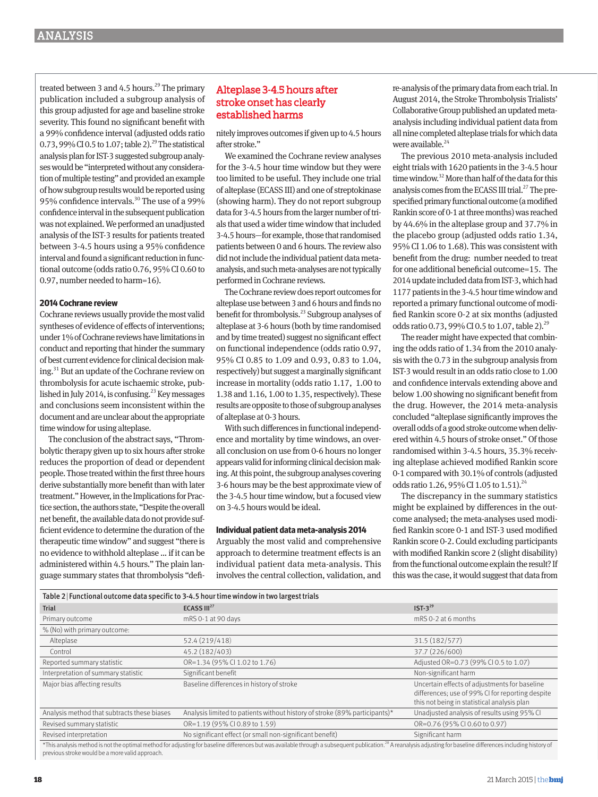treated between 3 and 4.5 hours.<sup>29</sup> The primary publication included a subgroup analysis of this group adjusted for age and baseline stroke severity. This found no significant benefit with a 99% confidence interval (adjusted odds ratio 0.73, 99% CI 0.5 to 1.07; table 2).<sup>29</sup> The statistical analysis plan for IST-3 suggested subgroup analyses would be "interpreted without any consideration of multiple testing" and provided an example of how subgroup results would be reported using 95% confidence intervals.30 The use of a 99% confidence interval in the subsequent publication was not explained. We performed an unadjusted analysis of the IST-3 results for patients treated between 3-4.5 hours using a 95% confidence interval and found a significant reduction in functional outcome (odds ratio 0.76, 95% CI 0.60 to 0.97, number needed to harm=16).

## **2014 Cochrane review**

Cochrane reviews usually provide the most valid syntheses of evidence of effects of interventions; under 1% of Cochrane reviews have limitations in conduct and reporting that hinder the summary of best current evidence for clinical decision making.31 But an update of the Cochrane review on thrombolysis for acute ischaemic stroke, published in July 2014, is confusing.<sup>23</sup> Key messages and conclusions seem inconsistent within the document and are unclear about the appropriate time window for using alteplase.

The conclusion of the abstract says, "Thrombolytic therapy given up to six hours after stroke reduces the proportion of dead or dependent people. Those treated within the first three hours derive substantially more benefit than with later treatment." However, in the Implications for Practice section, the authors state, "Despite the overall net benefit, the available data do not provide sufficient evidence to determine the duration of the therapeutic time window" and suggest "there is no evidence to withhold alteplase … if it can be administered within 4.5 hours." The plain language summary states that thrombolysis "defi-

## Alteplase 3-4.5 hours after stroke onset has clearly established harms

nitely improves outcomes if given up to 4.5 hours after stroke."

We examined the Cochrane review analyses for the 3-4.5 hour time window but they were too limited to be useful. They include one trial of alteplase (ECASS III) and one of streptokinase (showing harm). They do not report subgroup data for 3-4.5 hours from the larger number of trials that used a wider time window that included 3-4.5 hours—for example, those that randomised patients between 0 and 6 hours. The review also did not include the individual patient data metaanalysis, and such meta-analyses are not typically performed in Cochrane reviews.

The Cochrane review does report outcomes for alteplase use between 3 and 6 hours and finds no benefit for thrombolysis.<sup>23</sup> Subgroup analyses of alteplase at 3-6 hours (both by time randomised and by time treated) suggest no significant effect on functional independence (odds ratio 0.97, 95% CI 0.85 to 1.09 and 0.93, 0.83 to 1.04, respectively) but suggest a marginally significant increase in mortality (odds ratio 1.17, 1.00 to 1.38 and 1.16, 1.00 to 1.35, respectively). These results are opposite to those of subgroup analyses of alteplase at 0-3 hours.

With such differences in functional independence and mortality by time windows, an overall conclusion on use from 0-6 hours no longer appears valid for informing clinical decision making. At this point, the subgroup analyses covering 3-6 hours may be the best approximate view of the 3-4.5 hour time window, but a focused view on 3-4.5 hours would be ideal.

## **Individual patient data meta-analysis 2014**

Arguably the most valid and comprehensive approach to determine treatment effects is an individual patient data meta-analysis. This involves the central collection, validation, and

re-analysis of the primary data from each trial. In August 2014, the Stroke Thrombolysis Trialists' Collaborative Group published an updated metaanalysis including individual patient data from all nine completed alteplase trials for which data were available.<sup>24</sup>

The previous 2010 meta-analysis included eight trials with 1620 patients in the 3-4.5 hour time window.<sup>32</sup> More than half of the data for this analysis comes from the ECASS III trial.<sup>27</sup> The prespecified primary functional outcome (a modified Rankin score of 0-1 at three months) was reached by 44.6% in the alteplase group and 37.7% in the placebo group (adjusted odds ratio 1.34, 95% CI 1.06 to 1.68). This was consistent with benefit from the drug: number needed to treat for one additional beneficial outcome=15. The 2014 update included data from IST-3, which had 1177 patients in the 3-4.5 hour time window and reported a primary functional outcome of modified Rankin score 0-2 at six months (adjusted odds ratio 0.73, 99% CI 0.5 to 1.07, table 2).<sup>29</sup>

The reader might have expected that combining the odds ratio of 1.34 from the 2010 analysis with the 0.73 in the subgroup analysis from IST-3 would result in an odds ratio close to 1.00 and confidence intervals extending above and below 1.00 showing no significant benefit from the drug. However, the 2014 meta-analysis concluded "alteplase significantly improves the overall odds of a good stroke outcome when delivered within 4.5 hours of stroke onset." Of those randomised within 3-4.5 hours, 35.3% receiving alteplase achieved modified Rankin score 0-1 compared with 30.1% of controls (adjusted odds ratio 1.26, 95% CI 1.05 to 1.51).<sup>24</sup>

The discrepancy in the summary statistics might be explained by differences in the outcome analysed; the meta-analyses used modified Rankin score 0-1 and IST-3 used modified Rankin score 0-2. Could excluding participants with modified Rankin score 2 (slight disability) from the functional outcome explain the result? If this was the case, it would suggest that data from

| Table 2 Functional outcome data specific to 3-4.5 hour time window in two largest trials                                                                                                                                                                                         |                                                                            |                                                                                                                                                  |  |  |  |  |  |  |
|----------------------------------------------------------------------------------------------------------------------------------------------------------------------------------------------------------------------------------------------------------------------------------|----------------------------------------------------------------------------|--------------------------------------------------------------------------------------------------------------------------------------------------|--|--|--|--|--|--|
| <b>Trial</b>                                                                                                                                                                                                                                                                     | ECASS $III27$                                                              | $IST-329$                                                                                                                                        |  |  |  |  |  |  |
| Primary outcome                                                                                                                                                                                                                                                                  | mRS 0-1 at 90 days                                                         | mRS 0-2 at 6 months                                                                                                                              |  |  |  |  |  |  |
| % (No) with primary outcome:                                                                                                                                                                                                                                                     |                                                                            |                                                                                                                                                  |  |  |  |  |  |  |
| Alteplase                                                                                                                                                                                                                                                                        | 52.4 (219/418)                                                             | 31.5 (182/577)                                                                                                                                   |  |  |  |  |  |  |
| Control                                                                                                                                                                                                                                                                          | 45.2 (182/403)                                                             | 37.7 (226/600)                                                                                                                                   |  |  |  |  |  |  |
| Reported summary statistic                                                                                                                                                                                                                                                       | OR=1.34 (95% CI 1.02 to 1.76)                                              | Adjusted OR=0.73 (99% CI 0.5 to 1.07)                                                                                                            |  |  |  |  |  |  |
| Interpretation of summary statistic                                                                                                                                                                                                                                              | Significant benefit                                                        | Non-significant harm                                                                                                                             |  |  |  |  |  |  |
| Major bias affecting results                                                                                                                                                                                                                                                     | Baseline differences in history of stroke                                  | Uncertain effects of adjustments for baseline<br>differences; use of 99% CI for reporting despite<br>this not being in statistical analysis plan |  |  |  |  |  |  |
| Analysis method that subtracts these biases                                                                                                                                                                                                                                      | Analysis limited to patients without history of stroke (89% participants)* | Unadjusted analysis of results using 95% CI                                                                                                      |  |  |  |  |  |  |
| Revised summary statistic                                                                                                                                                                                                                                                        | OR=1.19 (95% CI 0.89 to 1.59)                                              | OR=0.76 (95% CI 0.60 to 0.97)                                                                                                                    |  |  |  |  |  |  |
| Revised interpretation                                                                                                                                                                                                                                                           | No significant effect (or small non-significant benefit)                   | Significant harm                                                                                                                                 |  |  |  |  |  |  |
| *This analysis method is not the optimal method for adjusting for baseline differences but was available through a subsequent publication. <sup>28</sup> A reanalysis adjusting for baseline differences including history of<br>previous stroke would be a more valid approach. |                                                                            |                                                                                                                                                  |  |  |  |  |  |  |